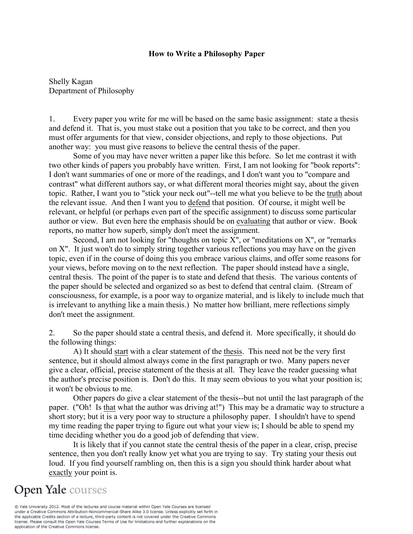#### **How to Write a Philosophy Paper**

Shelly Kagan Department of Philosophy

1. Every paper you write for me will be based on the same basic assignment: state a thesis and defend it. That is, you must stake out a position that you take to be correct, and then you must offer arguments for that view, consider objections, and reply to those objections. Put another way: you must give reasons to believe the central thesis of the paper.

Some of you may have never written a paper like this before. So let me contrast it with two other kinds of papers you probably have written. First, I am not looking for "book reports": I don't want summaries of one or more of the readings, and I don't want you to "compare and contrast" what different authors say, or what different moral theories might say, about the given topic. Rather, I want you to "stick your neck out"--tell me what you believe to be the truth about the relevant issue. And then I want you to defend that position. Of course, it might well be relevant, or helpful (or perhaps even part of the specific assignment) to discuss some particular author or view. But even here the emphasis should be on evaluating that author or view. Book reports, no matter how superb, simply don't meet the assignment.

Second, I am not looking for "thoughts on topic  $X$ ", or "meditations on  $X$ ", or "remarks" on X". It just won't do to simply string together various reflections you may have on the given topic, even if in the course of doing this you embrace various claims, and offer some reasons for your views, before moving on to the next reflection. The paper should instead have a single, central thesis. The point of the paper is to state and defend that thesis. The various contents of the paper should be selected and organized so as best to defend that central claim. (Stream of consciousness, for example, is a poor way to organize material, and is likely to include much that is irrelevant to anything like a main thesis.) No matter how brilliant, mere reflections simply don't meet the assignment.

2. So the paper should state a central thesis, and defend it. More specifically, it should do the following things:

A) It should start with a clear statement of the thesis. This need not be the very first sentence, but it should almost always come in the first paragraph or two. Many papers never give a clear, official, precise statement of the thesis at all. They leave the reader guessing what the author's precise position is. Don't do this. It may seem obvious to you what your position is; it won't be obvious to me.

Other papers do give a clear statement of the thesis--but not until the last paragraph of the paper. ("Oh! Is that what the author was driving at!") This may be a dramatic way to structure a short story; but it is a very poor way to structure a philosophy paper. I shouldn't have to spend my time reading the paper trying to figure out what your view is; I should be able to spend my time deciding whether you do a good job of defending that view.

It is likely that if you cannot state the central thesis of the paper in a clear, crisp, precise sentence, then you don't really know yet what you are trying to say. Try stating your thesis out loud. If you find yourself rambling on, then this is a sign you should think harder about what exactly your point is.

# **Open Yale** courses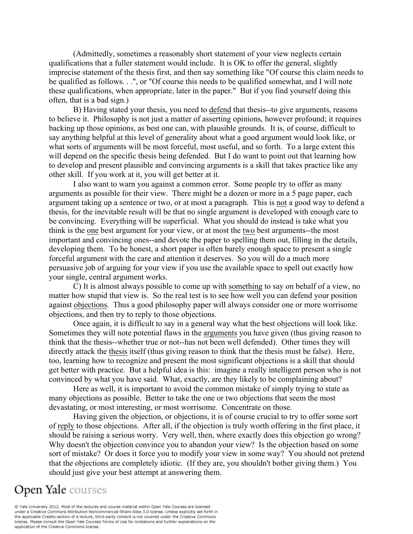(Admittedly, sometimes a reasonably short statement of your view neglects certain qualifications that a fuller statement would include. It is OK to offer the general, slightly imprecise statement of the thesis first, and then say something like "Of course this claim needs to be qualified as follows. . .", or "Of course this needs to be qualified somewhat, and I will note these qualifications, when appropriate, later in the paper." But if you find yourself doing this often, that is a bad sign.)

B) Having stated your thesis, you need to defend that thesis--to give arguments, reasons to believe it. Philosophy is not just a matter of asserting opinions, however profound; it requires backing up those opinions, as best one can, with plausible grounds. It is, of course, difficult to say anything helpful at this level of generality about what a good argument would look like, or what sorts of arguments will be most forceful, most useful, and so forth. To a large extent this will depend on the specific thesis being defended. But I do want to point out that learning how to develop and present plausible and convincing arguments is a skill that takes practice like any other skill. If you work at it, you will get better at it.

I also want to warn you against a common error. Some people try to offer as many arguments as possible for their view. There might be a dozen or more in a 5 page paper, each argument taking up a sentence or two, or at most a paragraph. This is not a good way to defend a thesis, for the inevitable result will be that no single argument is developed with enough care to be convincing. Everything will be superficial. What you should do instead is take what you think is the one best argument for your view, or at most the two best arguments--the most important and convincing ones--and devote the paper to spelling them out, filling in the details, developing them. To be honest, a short paper is often barely enough space to present a single forceful argument with the care and attention it deserves. So you will do a much more persuasive job of arguing for your view if you use the available space to spell out exactly how your single, central argument works.

C) It is almost always possible to come up with something to say on behalf of a view, no matter how stupid that view is. So the real test is to see how well you can defend your position against objections. Thus a good philosophy paper will always consider one or more worrisome objections, and then try to reply to those objections.

Once again, it is difficult to say in a general way what the best objections will look like. Sometimes they will note potential flaws in the arguments you have given (thus giving reason to think that the thesis--whether true or not--has not been well defended). Other times they will directly attack the thesis itself (thus giving reason to think that the thesis must be false). Here, too, learning how to recognize and present the most significant objections is a skill that should get better with practice. But a helpful idea is this: imagine a really intelligent person who is not convinced by what you have said. What, exactly, are they likely to be complaining about?

Here as well, it is important to avoid the common mistake of simply trying to state as many objections as possible. Better to take the one or two objections that seem the most devastating, or most interesting, or most worrisome. Concentrate on those.

Having given the objection, or objections, it is of course crucial to try to offer some sort of reply to those objections. After all, if the objection is truly worth offering in the first place, it should be raising a serious worry. Very well, then, where exactly does this objection go wrong? Why doesn't the objection convince you to abandon your view? Is the objection based on some sort of mistake? Or does it force you to modify your view in some way? You should not pretend that the objections are completely idiotic. (If they are, you shouldn't bother giving them.) You should just give your best attempt at answering them.

## **Open Yale** courses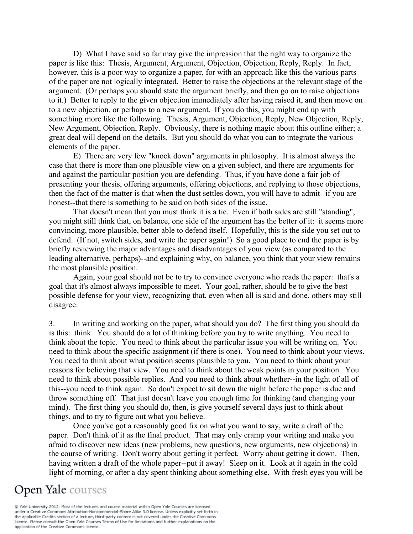D) What I have said so far may give the impression that the right way to organize the paper is like this: Thesis, Argument, Argument, Objection, Objection, Reply, Reply. In fact, however, this is a poor way to organize a paper, for with an approach like this the various parts of the paper are not logically integrated. Better to raise the objections at the relevant stage of the argument. (Or perhaps you should state the argument briefly, and then go on to raise objections to it.) Better to reply to the given objection immediately after having raised it, and then move on to a new objection, or perhaps to a new argument. If you do this, you might end up with something more like the following: Thesis, Argument, Objection, Reply, New Objection, Reply, New Argument, Objection, Reply. Obviously, there is nothing magic about this outline either; a great deal will depend on the details. But you should do what you can to integrate the various elements of the paper.

E) There are very few "knock down" arguments in philosophy. It is almost always the case that there is more than one plausible view on a given subject, and there are arguments for and against the particular position you are defending. Thus, if you have done a fair job of presenting your thesis, offering arguments, offering objections, and replying to those objections, then the fact of the matter is that when the dust settles down, you will have to admit--if you are honest--that there is something to be said on both sides of the issue.

That doesn't mean that you must think it is a tie. Even if both sides are still "standing", you might still think that, on balance, one side of the argument has the better of it: it seems more convincing, more plausible, better able to defend itself. Hopefully, this is the side you set out to defend. (If not, switch sides, and write the paper again!) So a good place to end the paper is by briefly reviewing the major advantages and disadvantages of your view (as compared to the leading alternative, perhaps)--and explaining why, on balance, you think that your view remains the most plausible position.

Again, your goal should not be to try to convince everyone who reads the paper: that's a goal that it's almost always impossible to meet. Your goal, rather, should be to give the best possible defense for your view, recognizing that, even when all is said and done, others may still disagree.

3. In writing and working on the paper, what should you do? The first thing you should do is this: think. You should do a lot of thinking before you try to write anything. You need to think about the topic. You need to think about the particular issue you will be writing on. You need to think about the specific assignment (if there is one). You need to think about your views. You need to think about what position seems plausible to you. You need to think about your reasons for believing that view. You need to think about the weak points in your position. You need to think about possible replies. And you need to think about whether--in the light of all of this--you need to think again. So don't expect to sit down the night before the paper is due and throw something off. That just doesn't leave you enough time for thinking (and changing your mind). The first thing you should do, then, is give yourself several days just to think about things, and to try to figure out what you believe.

Once you've got a reasonably good fix on what you want to say, write a draft of the paper. Don't think of it as the final product. That may only cramp your writing and make you afraid to discover new ideas (new problems, new questions, new arguments, new objections) in the course of writing. Don't worry about getting it perfect. Worry about getting it down. Then, having written a draft of the whole paper--put it away! Sleep on it. Look at it again in the cold light of morning, or after a day spent thinking about something else. With fresh eyes you will be

### **Open Yale** courses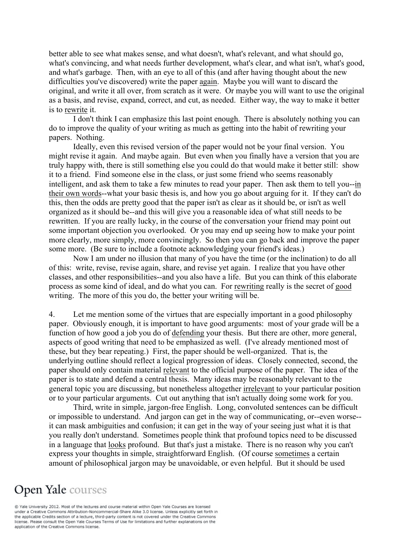better able to see what makes sense, and what doesn't, what's relevant, and what should go, what's convincing, and what needs further development, what's clear, and what isn't, what's good, and what's garbage. Then, with an eye to all of this (and after having thought about the new difficulties you've discovered) write the paper again. Maybe you will want to discard the original, and write it all over, from scratch as it were. Or maybe you will want to use the original as a basis, and revise, expand, correct, and cut, as needed. Either way, the way to make it better is to rewrite it.

I don't think I can emphasize this last point enough. There is absolutely nothing you can do to improve the quality of your writing as much as getting into the habit of rewriting your papers. Nothing.

Ideally, even this revised version of the paper would not be your final version. You might revise it again. And maybe again. But even when you finally have a version that you are truly happy with, there is still something else you could do that would make it better still: show it to a friend. Find someone else in the class, or just some friend who seems reasonably intelligent, and ask them to take a few minutes to read your paper. Then ask them to tell you--in their own words--what your basic thesis is, and how you go about arguing for it. If they can't do this, then the odds are pretty good that the paper isn't as clear as it should be, or isn't as well organized as it should be--and this will give you a reasonable idea of what still needs to be rewritten. If you are really lucky, in the course of the conversation your friend may point out some important objection you overlooked. Or you may end up seeing how to make your point more clearly, more simply, more convincingly. So then you can go back and improve the paper some more. (Be sure to include a footnote acknowledging your friend's ideas.)

Now I am under no illusion that many of you have the time (or the inclination) to do all of this: write, revise, revise again, share, and revise yet again. I realize that you have other classes, and other responsibilities--and you also have a life. But you can think of this elaborate process as some kind of ideal, and do what you can. For rewriting really is the secret of good writing. The more of this you do, the better your writing will be.

4. Let me mention some of the virtues that are especially important in a good philosophy paper. Obviously enough, it is important to have good arguments: most of your grade will be a function of how good a job you do of defending your thesis. But there are other, more general, aspects of good writing that need to be emphasized as well. (I've already mentioned most of these, but they bear repeating.) First, the paper should be well-organized. That is, the underlying outline should reflect a logical progression of ideas. Closely connected, second, the paper should only contain material relevant to the official purpose of the paper. The idea of the paper is to state and defend a central thesis. Many ideas may be reasonably relevant to the general topic you are discussing, but nonetheless altogether irrelevant to your particular position or to your particular arguments. Cut out anything that isn't actually doing some work for you.

Third, write in simple, jargon-free English. Long, convoluted sentences can be difficult or impossible to understand. And jargon can get in the way of communicating, or--even worse- it can mask ambiguities and confusion; it can get in the way of your seeing just what it is that you really don't understand. Sometimes people think that profound topics need to be discussed in a language that looks profound. But that's just a mistake. There is no reason why you can't express your thoughts in simple, straightforward English. (Of course sometimes a certain amount of philosophical jargon may be unavoidable, or even helpful. But it should be used

# **Open Yale** courses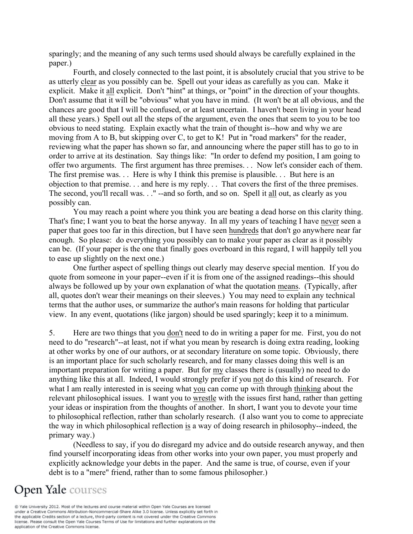sparingly; and the meaning of any such terms used should always be carefully explained in the paper.)

Fourth, and closely connected to the last point, it is absolutely crucial that you strive to be as utterly clear as you possibly can be. Spell out your ideas as carefully as you can. Make it explicit. Make it all explicit. Don't "hint" at things, or "point" in the direction of your thoughts. Don't assume that it will be "obvious" what you have in mind. (It won't be at all obvious, and the chances are good that I will be confused, or at least uncertain. I haven't been living in your head all these years.) Spell out all the steps of the argument, even the ones that seem to you to be too obvious to need stating. Explain exactly what the train of thought is--how and why we are moving from A to B, but skipping over C, to get to K! Put in "road markers" for the reader, reviewing what the paper has shown so far, and announcing where the paper still has to go to in order to arrive at its destination. Say things like: "In order to defend my position, I am going to offer two arguments. The first argument has three premises. . . Now let's consider each of them. The first premise was. . . Here is why I think this premise is plausible. . . But here is an objection to that premise. . . and here is my reply. . . That covers the first of the three premises. The second, you'll recall was. . ." --and so forth, and so on. Spell it all out, as clearly as you possibly can.

You may reach a point where you think you are beating a dead horse on this clarity thing. That's fine; I want you to beat the horse anyway. In all my years of teaching I have never seen a paper that goes too far in this direction, but I have seen hundreds that don't go anywhere near far enough. So please: do everything you possibly can to make your paper as clear as it possibly can be. (If your paper is the one that finally goes overboard in this regard, I will happily tell you to ease up slightly on the next one.)

One further aspect of spelling things out clearly may deserve special mention. If you do quote from someone in your paper--even if it is from one of the assigned readings--this should always be followed up by your own explanation of what the quotation means. (Typically, after all, quotes don't wear their meanings on their sleeves.) You may need to explain any technical terms that the author uses, or summarize the author's main reasons for holding that particular view. In any event, quotations (like jargon) should be used sparingly; keep it to a minimum.

5. Here are two things that you don't need to do in writing a paper for me. First, you do not need to do "research"--at least, not if what you mean by research is doing extra reading, looking at other works by one of our authors, or at secondary literature on some topic. Obviously, there is an important place for such scholarly research, and for many classes doing this well is an important preparation for writing a paper. But for my classes there is (usually) no need to do anything like this at all. Indeed, I would strongly prefer if you not do this kind of research. For what I am really interested in is seeing what you can come up with through thinking about the relevant philosophical issues. I want you to wrestle with the issues first hand, rather than getting your ideas or inspiration from the thoughts of another. In short, I want you to devote your time to philosophical reflection, rather than scholarly research. (I also want you to come to appreciate the way in which philosophical reflection is a way of doing research in philosophy--indeed, the primary way.)

(Needless to say, if you do disregard my advice and do outside research anyway, and then find yourself incorporating ideas from other works into your own paper, you must properly and explicitly acknowledge your debts in the paper. And the same is true, of course, even if your debt is to a "mere" friend, rather than to some famous philosopher.)

# **Open Yale** courses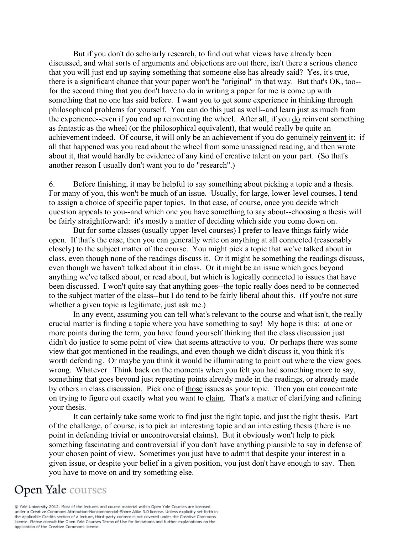But if you don't do scholarly research, to find out what views have already been discussed, and what sorts of arguments and objections are out there, isn't there a serious chance that you will just end up saying something that someone else has already said? Yes, it's true, there is a significant chance that your paper won't be "original" in that way. But that's OK, too- for the second thing that you don't have to do in writing a paper for me is come up with something that no one has said before. I want you to get some experience in thinking through philosophical problems for yourself. You can do this just as well--and learn just as much from the experience--even if you end up reinventing the wheel. After all, if you do reinvent something as fantastic as the wheel (or the philosophical equivalent), that would really be quite an achievement indeed. Of course, it will only be an achievement if you do genuinely reinvent it: if all that happened was you read about the wheel from some unassigned reading, and then wrote about it, that would hardly be evidence of any kind of creative talent on your part. (So that's another reason I usually don't want you to do "research".)

6. Before finishing, it may be helpful to say something about picking a topic and a thesis. For many of you, this won't be much of an issue. Usually, for large, lower-level courses, I tend to assign a choice of specific paper topics. In that case, of course, once you decide which question appeals to you--and which one you have something to say about--choosing a thesis will be fairly straightforward: it's mostly a matter of deciding which side you come down on.

But for some classes (usually upper-level courses) I prefer to leave things fairly wide open. If that's the case, then you can generally write on anything at all connected (reasonably closely) to the subject matter of the course. You might pick a topic that we've talked about in class, even though none of the readings discuss it. Or it might be something the readings discuss, even though we haven't talked about it in class. Or it might be an issue which goes beyond anything we've talked about, or read about, but which is logically connected to issues that have been discussed. I won't quite say that anything goes--the topic really does need to be connected to the subject matter of the class--but I do tend to be fairly liberal about this. (If you're not sure whether a given topic is legitimate, just ask me.)

In any event, assuming you can tell what's relevant to the course and what isn't, the really crucial matter is finding a topic where you have something to say! My hope is this: at one or more points during the term, you have found yourself thinking that the class discussion just didn't do justice to some point of view that seems attractive to you. Or perhaps there was some view that got mentioned in the readings, and even though we didn't discuss it, you think it's worth defending. Or maybe you think it would be illuminating to point out where the view goes wrong. Whatever. Think back on the moments when you felt you had something more to say, something that goes beyond just repeating points already made in the readings, or already made by others in class discussion. Pick one of those issues as your topic. Then you can concentrate on trying to figure out exactly what you want to claim. That's a matter of clarifying and refining your thesis.

It can certainly take some work to find just the right topic, and just the right thesis. Part of the challenge, of course, is to pick an interesting topic and an interesting thesis (there is no point in defending trivial or uncontroversial claims). But it obviously won't help to pick something fascinating and controversial if you don't have anything plausible to say in defense of your chosen point of view. Sometimes you just have to admit that despite your interest in a given issue, or despite your belief in a given position, you just don't have enough to say. Then you have to move on and try something else.

## **Open Yale** courses